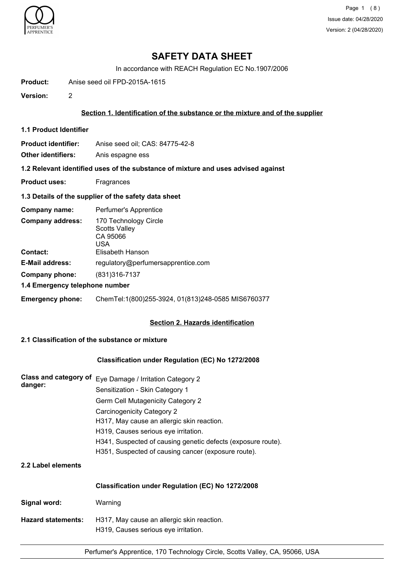

Page 1 (8) Issue date: 04/28/2020 Version: 2 (04/28/2020)

## **SAFETY DATA SHEET**

In accordance with REACH Regulation EC No.1907/2006

**Product:** Anise seed oil FPD-2015A-1615

**Version:** 2

### **Section 1. Identification of the substance or the mixture and of the supplier**

**1.1 Product Identifier**

**Product identifier:** Anise seed oil; CAS: 84775-42-8

**Other identifiers:** Anis espagne ess

**1.2 Relevant identified uses of the substance of mixture and uses advised against**

**Product uses:** Fragrances

#### **1.3 Details of the supplier of the safety data sheet**

| Company name:                              | Perfumer's Apprentice                                                                |
|--------------------------------------------|--------------------------------------------------------------------------------------|
| <b>Company address:</b><br><b>Contact:</b> | 170 Technology Circle<br><b>Scotts Valley</b><br>CA 95066<br>USA<br>Elisabeth Hanson |
| <b>E-Mail address:</b>                     | regulatory@perfumersapprentice.com                                                   |
| Company phone:                             | (831)316-7137                                                                        |
| 1.4 Emergency telephone number             |                                                                                      |
| <b>Emergency phone:</b>                    | ChemTel:1(800)255-3924, 01(813)248-0585 MIS6760377                                   |

## **Section 2. Hazards identification**

## **2.1 Classification of the substance or mixture**

### **Classification under Regulation (EC) No 1272/2008**

| Class and category of<br>danger: | Eye Damage / Irritation Category 2                                                 |  |  |
|----------------------------------|------------------------------------------------------------------------------------|--|--|
|                                  | Sensitization - Skin Category 1                                                    |  |  |
|                                  | Germ Cell Mutagenicity Category 2<br>Carcinogenicity Category 2                    |  |  |
|                                  |                                                                                    |  |  |
|                                  | H317, May cause an allergic skin reaction.                                         |  |  |
|                                  | H319, Causes serious eye irritation.                                               |  |  |
|                                  | H341, Suspected of causing genetic defects (exposure route).                       |  |  |
|                                  | H351, Suspected of causing cancer (exposure route).                                |  |  |
| 2.2 Label elements               |                                                                                    |  |  |
|                                  | Classification under Regulation (EC) No 1272/2008                                  |  |  |
| Signal word:                     | Warning                                                                            |  |  |
| <b>Hazard statements:</b>        | H317, May cause an allergic skin reaction.<br>H319, Causes serious eye irritation. |  |  |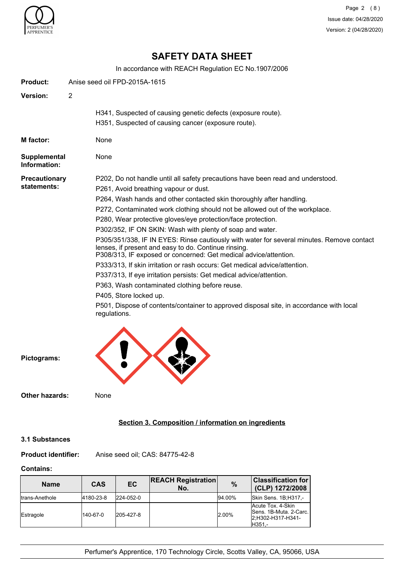

Page 2 (8) Issue date: 04/28/2020 Version: 2 (04/28/2020)

## **SAFETY DATA SHEET**

In accordance with REACH Regulation EC No.1907/2006

| Product:                     | Anise seed oil FPD-2015A-1615                                                                                                                                                                                         |  |  |
|------------------------------|-----------------------------------------------------------------------------------------------------------------------------------------------------------------------------------------------------------------------|--|--|
| Version:                     | $\overline{2}$                                                                                                                                                                                                        |  |  |
|                              | H341, Suspected of causing genetic defects (exposure route).                                                                                                                                                          |  |  |
|                              | H351, Suspected of causing cancer (exposure route).                                                                                                                                                                   |  |  |
| M factor:                    | None                                                                                                                                                                                                                  |  |  |
| Supplemental<br>Information: | None                                                                                                                                                                                                                  |  |  |
| <b>Precautionary</b>         | P202, Do not handle until all safety precautions have been read and understood.                                                                                                                                       |  |  |
| statements:                  | P261, Avoid breathing vapour or dust.                                                                                                                                                                                 |  |  |
|                              | P264, Wash hands and other contacted skin thoroughly after handling.                                                                                                                                                  |  |  |
|                              | P272, Contaminated work clothing should not be allowed out of the workplace.                                                                                                                                          |  |  |
|                              | P280, Wear protective gloves/eye protection/face protection.                                                                                                                                                          |  |  |
|                              | P302/352, IF ON SKIN: Wash with plenty of soap and water.                                                                                                                                                             |  |  |
|                              | P305/351/338, IF IN EYES: Rinse cautiously with water for several minutes. Remove contact<br>lenses, if present and easy to do. Continue rinsing.<br>P308/313, IF exposed or concerned: Get medical advice/attention. |  |  |
|                              | P333/313, If skin irritation or rash occurs: Get medical advice/attention.                                                                                                                                            |  |  |
|                              | P337/313, If eye irritation persists: Get medical advice/attention.                                                                                                                                                   |  |  |
|                              | P363, Wash contaminated clothing before reuse.                                                                                                                                                                        |  |  |
|                              | P405, Store locked up.                                                                                                                                                                                                |  |  |
|                              | P501, Dispose of contents/container to approved disposal site, in accordance with local<br>regulations.                                                                                                               |  |  |
|                              |                                                                                                                                                                                                                       |  |  |



**Other hazards:** None

## **Section 3. Composition / information on ingredients**

## **3.1 Substances**

**Product identifier:** Anise seed oil; CAS: 84775-42-8

## **Contains:**

| <b>Name</b>     | CAS       | <b>EC</b> | <b>REACH Registration</b><br>No. | $\%$   | <b>Classification for</b><br>(CLP) 1272/2008                                |
|-----------------|-----------|-----------|----------------------------------|--------|-----------------------------------------------------------------------------|
| Itrans-Anethole | 4180-23-8 | 224-052-0 |                                  | 94.00% | Skin Sens. 1B;H317,-                                                        |
| Estragole       | 140-67-0  | 205-427-8 |                                  | 2.00%  | Acute Tox. 4-Skin<br>Sens. 1B-Muta. 2-Carc.<br>2:H302-H317-H341-<br>IH351.- |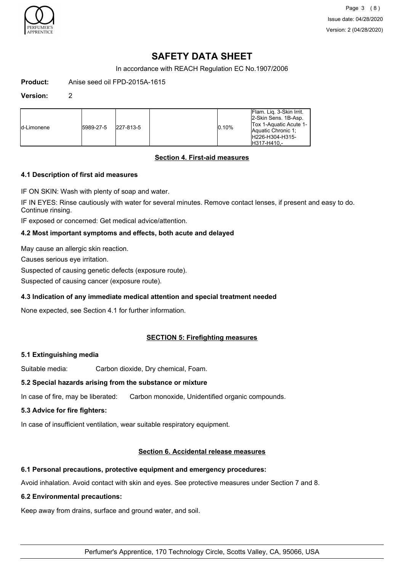

Page 3 (8) Issue date: 04/28/2020 Version: 2 (04/28/2020)

# **SAFETY DATA SHEET**

In accordance with REACH Regulation EC No.1907/2006

**Product:** Anise seed oil FPD-2015A-1615

#### **Version:** 2

| ld-Limonene | 5989-27-5 | 227-813-5 |  | 0.10% | Flam. Lig. 3-Skin Irrit.<br>2-Skin Sens. 1B-Asp.<br>Tox 1-Aquatic Acute 1-<br>Aquatic Chronic 1:<br>H226-H304-H315-<br>H317-H410.- |
|-------------|-----------|-----------|--|-------|------------------------------------------------------------------------------------------------------------------------------------|
|-------------|-----------|-----------|--|-------|------------------------------------------------------------------------------------------------------------------------------------|

## **Section 4. First-aid measures**

## **4.1 Description of first aid measures**

IF ON SKIN: Wash with plenty of soap and water.

IF IN EYES: Rinse cautiously with water for several minutes. Remove contact lenses, if present and easy to do. Continue rinsing.

IF exposed or concerned: Get medical advice/attention.

## **4.2 Most important symptoms and effects, both acute and delayed**

May cause an allergic skin reaction.

Causes serious eye irritation.

Suspected of causing genetic defects (exposure route).

Suspected of causing cancer (exposure route).

## **4.3 Indication of any immediate medical attention and special treatment needed**

None expected, see Section 4.1 for further information.

## **SECTION 5: Firefighting measures**

## **5.1 Extinguishing media**

Suitable media: Carbon dioxide, Dry chemical, Foam.

## **5.2 Special hazards arising from the substance or mixture**

In case of fire, may be liberated: Carbon monoxide, Unidentified organic compounds.

## **5.3 Advice for fire fighters:**

In case of insufficient ventilation, wear suitable respiratory equipment.

## **Section 6. Accidental release measures**

## **6.1 Personal precautions, protective equipment and emergency procedures:**

Avoid inhalation. Avoid contact with skin and eyes. See protective measures under Section 7 and 8.

## **6.2 Environmental precautions:**

Keep away from drains, surface and ground water, and soil.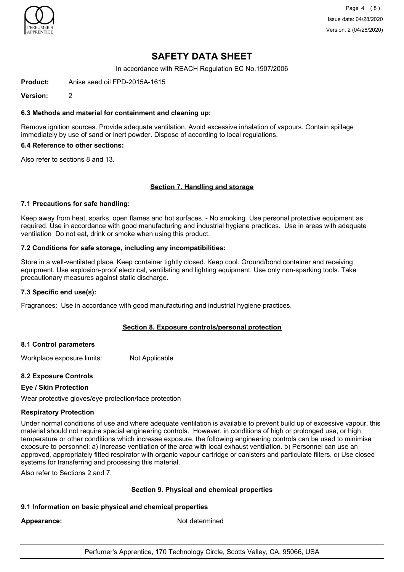

Page 4 (8) Issue date: 04/28/2020 Version: 2 (04/28/2020)

## **SAFETY DATA SHEET**

In accordance with REACH Regulation EC No.1907/2006

**Product:** Anise seed oil FPD-2015A-1615

**Version:** 2

#### **6.3 Methods and material for containment and cleaning up:**

Remove ignition sources. Provide adequate ventilation. Avoid excessive inhalation of vapours. Contain spillage immediately by use of sand or inert powder. Dispose of according to local regulations.

### **6.4 Reference to other sections:**

Also refer to sections 8 and 13.

### **Section 7. Handling and storage**

#### **7.1 Precautions for safe handling:**

Keep away from heat, sparks, open flames and hot surfaces. - No smoking. Use personal protective equipment as required. Use in accordance with good manufacturing and industrial hygiene practices. Use in areas with adequate ventilation Do not eat, drink or smoke when using this product.

#### **7.2 Conditions for safe storage, including any incompatibilities:**

Store in a well-ventilated place. Keep container tightly closed. Keep cool. Ground/bond container and receiving equipment. Use explosion-proof electrical, ventilating and lighting equipment. Use only non-sparking tools. Take precautionary measures against static discharge.

#### **7.3 Specific end use(s):**

Fragrances: Use in accordance with good manufacturing and industrial hygiene practices.

#### **Section 8. Exposure controls/personal protection**

#### **8.1 Control parameters**

Workplace exposure limits: Not Applicable

#### **8.2 Exposure Controls**

#### **Eye / Skin Protection**

Wear protective gloves/eye protection/face protection

#### **Respiratory Protection**

Under normal conditions of use and where adequate ventilation is available to prevent build up of excessive vapour, this material should not require special engineering controls. However, in conditions of high or prolonged use, or high temperature or other conditions which increase exposure, the following engineering controls can be used to minimise exposure to personnel: a) Increase ventilation of the area with local exhaust ventilation. b) Personnel can use an approved, appropriately fitted respirator with organic vapour cartridge or canisters and particulate filters. c) Use closed systems for transferring and processing this material.

Also refer to Sections 2 and 7.

#### **Section 9. Physical and chemical properties**

#### **9.1 Information on basic physical and chemical properties**

Appearance: Not determined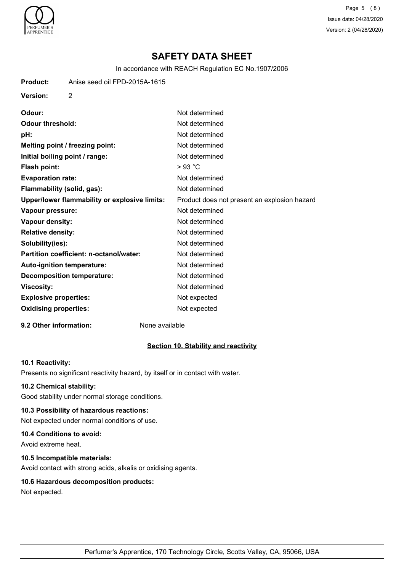

Page 5 (8) Issue date: 04/28/2020 Version: 2 (04/28/2020)

# **SAFETY DATA SHEET**

In accordance with REACH Regulation EC No.1907/2006

**Product:** Anise seed oil FPD-2015A-1615

**Version:** 2

**Odour:** Not determined **Odour threshold:** Not determined **pH:** Not determined **Melting point / freezing point:** Not determined **Initial boiling point / range:** Not determined **Flash point:** > 93 °C **Evaporation rate:** Not determined **Flammability (solid, gas):** Not determined **Upper/lower flammability or explosive limits:** Product does not present an explosion hazard **Vapour pressure:** Not determined **Vapour density:** Not determined **Relative density:** Not determined **Solubility(ies):** Not determined **Partition coefficient: n-octanol/water:** Not determined Auto-ignition temperature: Not determined **Decomposition temperature:** Not determined **Viscosity:** Not determined **Explosive properties:** Not expected **Oxidising properties:** Not expected

#### **9.2 Other information:** None available

## **Section 10. Stability and reactivity**

#### **10.1 Reactivity:**

Presents no significant reactivity hazard, by itself or in contact with water.

#### **10.2 Chemical stability:**

Good stability under normal storage conditions.

#### **10.3 Possibility of hazardous reactions:**

Not expected under normal conditions of use.

## **10.4 Conditions to avoid:**

Avoid extreme heat.

### **10.5 Incompatible materials:**

Avoid contact with strong acids, alkalis or oxidising agents.

## **10.6 Hazardous decomposition products:**

Not expected.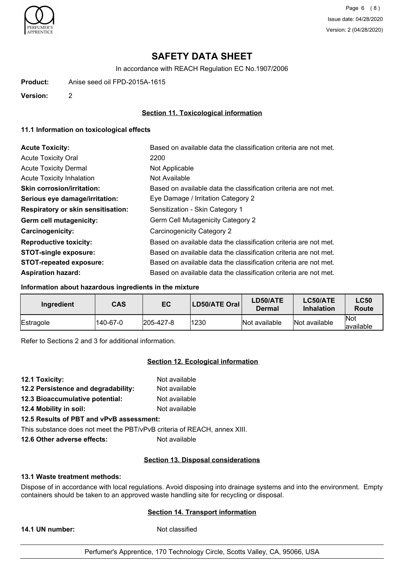

Page 6 (8) Issue date: 04/28/2020 Version: 2 (04/28/2020)

# **SAFETY DATA SHEET**

In accordance with REACH Regulation EC No.1907/2006

**Product:** Anise seed oil FPD-2015A-1615

**Version:** 2

## **Section 11. Toxicological information**

### **11.1 Information on toxicological effects**

| <b>Acute Toxicity:</b>                    | Based on available data the classification criteria are not met. |
|-------------------------------------------|------------------------------------------------------------------|
| <b>Acute Toxicity Oral</b>                | 2200                                                             |
| <b>Acute Toxicity Dermal</b>              | Not Applicable                                                   |
| <b>Acute Toxicity Inhalation</b>          | Not Available                                                    |
| <b>Skin corrosion/irritation:</b>         | Based on available data the classification criteria are not met. |
| Serious eye damage/irritation:            | Eye Damage / Irritation Category 2                               |
| <b>Respiratory or skin sensitisation:</b> | Sensitization - Skin Category 1                                  |
| Germ cell mutagenicity:                   | Germ Cell Mutagenicity Category 2                                |
| <b>Carcinogenicity:</b>                   | Carcinogenicity Category 2                                       |
| <b>Reproductive toxicity:</b>             | Based on available data the classification criteria are not met. |
| <b>STOT-single exposure:</b>              | Based on available data the classification criteria are not met. |
| <b>STOT-repeated exposure:</b>            | Based on available data the classification criteria are not met. |
| <b>Aspiration hazard:</b>                 | Based on available data the classification criteria are not met. |

#### **Information about hazardous ingredients in the mixture**

| Ingredient | <b>CAS</b> | EC                | LD50/ATE Oral | LD50/ATE<br>Dermal | LC50/ATE<br><b>Inhalation</b> | <b>LC50</b><br>Route     |
|------------|------------|-------------------|---------------|--------------------|-------------------------------|--------------------------|
| Estragole  | 140-67-0   | $ 205 - 427 - 8 $ | 1230          | Not available      | Not available                 | <b>Not</b><br>lavailable |

Refer to Sections 2 and 3 for additional information.

## **Section 12. Ecological information**

- **12.1 Toxicity:** Not available **12.2 Persistence and degradability:** Not available
- **12.3 Bioaccumulative potential:** Not available
- **12.4 Mobility in soil:** Not available
- **12.5 Results of PBT and vPvB assessment:**

This substance does not meet the PBT/vPvB criteria of REACH, annex XIII.

**12.6 Other adverse effects:** Not available

## **Section 13. Disposal considerations**

#### **13.1 Waste treatment methods:**

Dispose of in accordance with local regulations. Avoid disposing into drainage systems and into the environment. Empty containers should be taken to an approved waste handling site for recycling or disposal.

## **Section 14. Transport information**

**14.1 UN number:** Not classified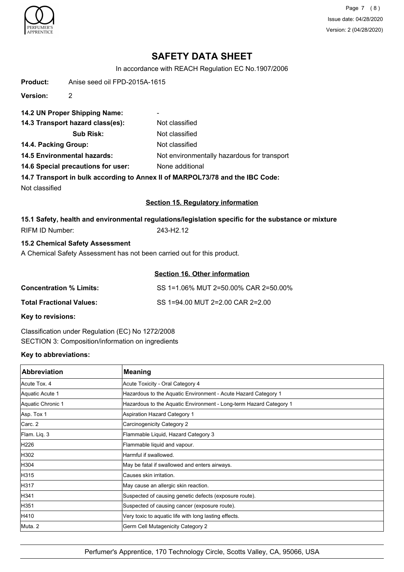

Page 7 (8) Issue date: 04/28/2020 Version: 2 (04/28/2020)

# **SAFETY DATA SHEET**

In accordance with REACH Regulation EC No.1907/2006

| <b>Product:</b>                    | Anise seed oil FPD-2015A-1615          |                                                                                                     |
|------------------------------------|----------------------------------------|-----------------------------------------------------------------------------------------------------|
| <b>Version:</b>                    | 2                                      |                                                                                                     |
|                                    | 14.2 UN Proper Shipping Name:          |                                                                                                     |
|                                    | 14.3 Transport hazard class(es):       | Not classified                                                                                      |
|                                    | <b>Sub Risk:</b>                       | Not classified                                                                                      |
| 14.4. Packing Group:               |                                        | Not classified                                                                                      |
|                                    | <b>14.5 Environmental hazards:</b>     | Not environmentally hazardous for transport                                                         |
| 14.6 Special precautions for user: |                                        | None additional                                                                                     |
|                                    |                                        | 14.7 Transport in bulk according to Annex II of MARPOL73/78 and the IBC Code:                       |
| Not classified                     |                                        |                                                                                                     |
|                                    |                                        | <b>Section 15. Regulatory information</b>                                                           |
|                                    |                                        | 15.1 Safety, health and environmental regulations/legislation specific for the substance or mixture |
| <b>RIFM ID Number:</b>             |                                        | 243-H2.12                                                                                           |
|                                    | <b>15.2 Chemical Safety Assessment</b> |                                                                                                     |
|                                    |                                        | A Chemical Safety Assessment has not been carried out for this product.                             |
|                                    |                                        | <b>Section 16. Other information</b>                                                                |

| <b>Concentration % Limits:</b> | SS 1=1.06% MUT 2=50.00% CAR 2=50.00% |
|--------------------------------|--------------------------------------|
| Total Fractional Values:       | SS 1=94.00 MUT 2=2.00 CAR 2=2.00     |

**Key to revisions:**

Classification under Regulation (EC) No 1272/2008 SECTION 3: Composition/information on ingredients

## **Key to abbreviations:**

| <b>Abbreviation</b> | <b>Meaning</b>                                                     |
|---------------------|--------------------------------------------------------------------|
| Acute Tox, 4        | Acute Toxicity - Oral Category 4                                   |
| Aquatic Acute 1     | Hazardous to the Aquatic Environment - Acute Hazard Category 1     |
| Aquatic Chronic 1   | Hazardous to the Aquatic Environment - Long-term Hazard Category 1 |
| Asp. Tox 1          | <b>Aspiration Hazard Category 1</b>                                |
| Carc. 2             | Carcinogenicity Category 2                                         |
| Flam. Liq. 3        | Flammable Liquid, Hazard Category 3                                |
| H226                | Flammable liquid and vapour.                                       |
| H302                | Harmful if swallowed.                                              |
| H304                | May be fatal if swallowed and enters airways.                      |
| H315                | Causes skin irritation.                                            |
| H317                | May cause an allergic skin reaction.                               |
| H341                | Suspected of causing genetic defects (exposure route).             |
| H351                | Suspected of causing cancer (exposure route).                      |
| H410                | Very toxic to aquatic life with long lasting effects.              |
| Muta. 2             | Germ Cell Mutagenicity Category 2                                  |